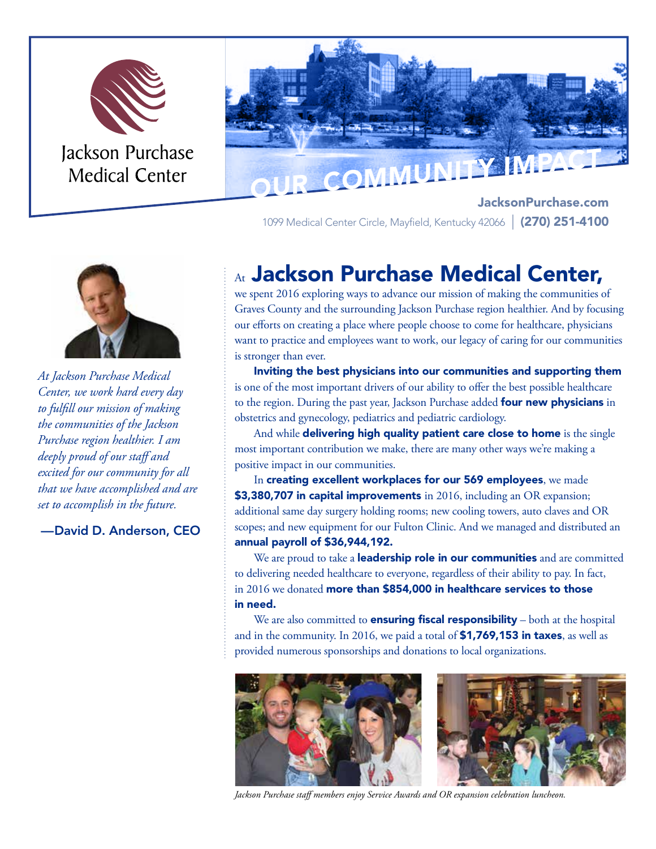



JacksonPurchase.com 1099 Medical Center Circle, Mayfield, Kentucky 42066 | (270) 251-4100



*At Jackson Purchase Medical Center, we work hard every day to fulfill our mission of making the communities of the Jackson Purchase region healthier. I am deeply proud of our staff and excited for our community for all that we have accomplished and are set to accomplish in the future.*

—David D. Anderson, CEO

# At Jackson Purchase Medical Center,

we spent 2016 exploring ways to advance our mission of making the communities of Graves County and the surrounding Jackson Purchase region healthier. And by focusing our efforts on creating a place where people choose to come for healthcare, physicians want to practice and employees want to work, our legacy of caring for our communities is stronger than ever.

Inviting the best physicians into our communities and supporting them is one of the most important drivers of our ability to offer the best possible healthcare to the region. During the past year, Jackson Purchase added four new physicians in obstetrics and gynecology, pediatrics and pediatric cardiology.

And while delivering high quality patient care close to home is the single most important contribution we make, there are many other ways we're making a positive impact in our communities.

In creating excellent workplaces for our 569 employees, we made \$3,380,707 in capital improvements in 2016, including an OR expansion; additional same day surgery holding rooms; new cooling towers, auto claves and OR scopes; and new equipment for our Fulton Clinic. And we managed and distributed an annual payroll of \$36,944,192.

We are proud to take a **leadership role in our communities** and are committed to delivering needed healthcare to everyone, regardless of their ability to pay. In fact, in 2016 we donated more than \$854,000 in healthcare services to those in need.

We are also committed to **ensuring fiscal responsibility** – both at the hospital and in the community. In 2016, we paid a total of **\$1,769,153 in taxes**, as well as provided numerous sponsorships and donations to local organizations.



*Jackson Purchase staff members enjoy Service Awards and OR expansion celebration luncheon.*